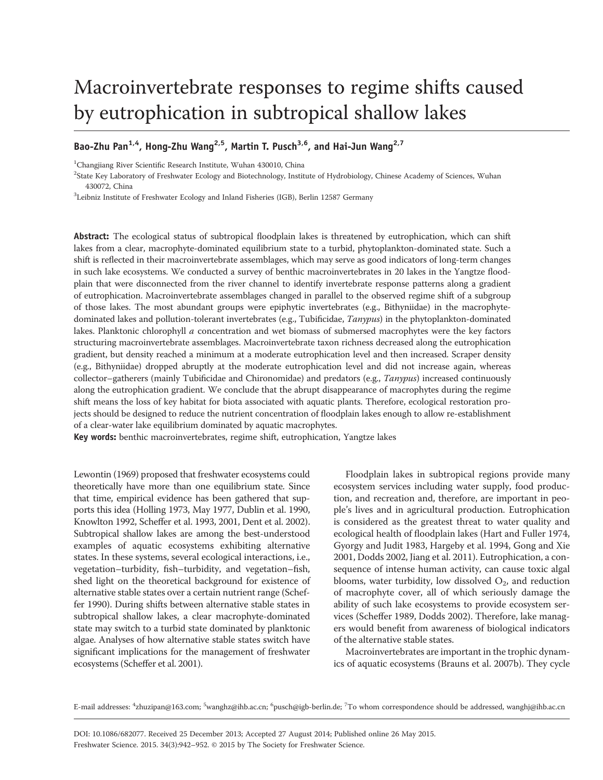# Macroinvertebrate responses to regime shifts caused by eutrophication in subtropical shallow lakes

## Bao-Zhu Pan<sup>1,4</sup>, Hong-Zhu Wang<sup>2,5</sup>, Martin T. Pusch<sup>3,6</sup>, and Hai-Jun Wang<sup>2,7</sup>

<sup>1</sup>Changjiang River Scientific Research Institute, Wuhan 430010, China

<sup>2</sup>State Key Laboratory of Freshwater Ecology and Biotechnology, Institute of Hydrobiology, Chinese Academy of Sciences, Wuhan 430072, China

<sup>3</sup>Leibniz Institute of Freshwater Ecology and Inland Fisheries (IGB), Berlin 12587 Germany

Abstract: The ecological status of subtropical floodplain lakes is threatened by eutrophication, which can shift lakes from a clear, macrophyte-dominated equilibrium state to a turbid, phytoplankton-dominated state. Such a shift is reflected in their macroinvertebrate assemblages, which may serve as good indicators of long-term changes in such lake ecosystems. We conducted a survey of benthic macroinvertebrates in 20 lakes in the Yangtze floodplain that were disconnected from the river channel to identify invertebrate response patterns along a gradient of eutrophication. Macroinvertebrate assemblages changed in parallel to the observed regime shift of a subgroup of those lakes. The most abundant groups were epiphytic invertebrates (e.g., Bithyniidae) in the macrophytedominated lakes and pollution-tolerant invertebrates (e.g., Tubificidae, Tanypus) in the phytoplankton-dominated lakes. Planktonic chlorophyll a concentration and wet biomass of submersed macrophytes were the key factors structuring macroinvertebrate assemblages. Macroinvertebrate taxon richness decreased along the eutrophication gradient, but density reached a minimum at a moderate eutrophication level and then increased. Scraper density (e.g., Bithyniidae) dropped abruptly at the moderate eutrophication level and did not increase again, whereas collector–gatherers (mainly Tubificidae and Chironomidae) and predators (e.g., Tanypus) increased continuously along the eutrophication gradient. We conclude that the abrupt disappearance of macrophytes during the regime shift means the loss of key habitat for biota associated with aquatic plants. Therefore, ecological restoration projects should be designed to reduce the nutrient concentration of floodplain lakes enough to allow re-establishment of a clear-water lake equilibrium dominated by aquatic macrophytes.

Key words: benthic macroinvertebrates, regime shift, eutrophication, Yangtze lakes

Lewontin (1969) proposed that freshwater ecosystems could theoretically have more than one equilibrium state. Since that time, empirical evidence has been gathered that supports this idea (Holling 1973, May 1977, Dublin et al. 1990, Knowlton 1992, Scheffer et al. 1993, 2001, Dent et al. 2002). Subtropical shallow lakes are among the best-understood examples of aquatic ecosystems exhibiting alternative states. In these systems, several ecological interactions, i.e., vegetation–turbidity, fish–turbidity, and vegetation–fish, shed light on the theoretical background for existence of alternative stable states over a certain nutrient range (Scheffer 1990). During shifts between alternative stable states in subtropical shallow lakes, a clear macrophyte-dominated state may switch to a turbid state dominated by planktonic algae. Analyses of how alternative stable states switch have significant implications for the management of freshwater ecosystems (Scheffer et al. 2001).

Floodplain lakes in subtropical regions provide many ecosystem services including water supply, food production, and recreation and, therefore, are important in people's lives and in agricultural production. Eutrophication is considered as the greatest threat to water quality and ecological health of floodplain lakes (Hart and Fuller 1974, Gyorgy and Judit 1983, Hargeby et al. 1994, Gong and Xie 2001, Dodds 2002, Jiang et al. 2011). Eutrophication, a consequence of intense human activity, can cause toxic algal blooms, water turbidity, low dissolved  $O_2$ , and reduction of macrophyte cover, all of which seriously damage the ability of such lake ecosystems to provide ecosystem services (Scheffer 1989, Dodds 2002). Therefore, lake managers would benefit from awareness of biological indicators of the alternative stable states.

Macroinvertebrates are important in the trophic dynamics of aquatic ecosystems (Brauns et al. 2007b). They cycle

E-mail addresses: <sup>4</sup>zhuzipan@163.com; <sup>5</sup>wanghz@ihb.ac.cn; <sup>6</sup>pusch@igb-berlin.de; <sup>7</sup>To whom correspondence should be addressed, wanghj@ihb.ac.cn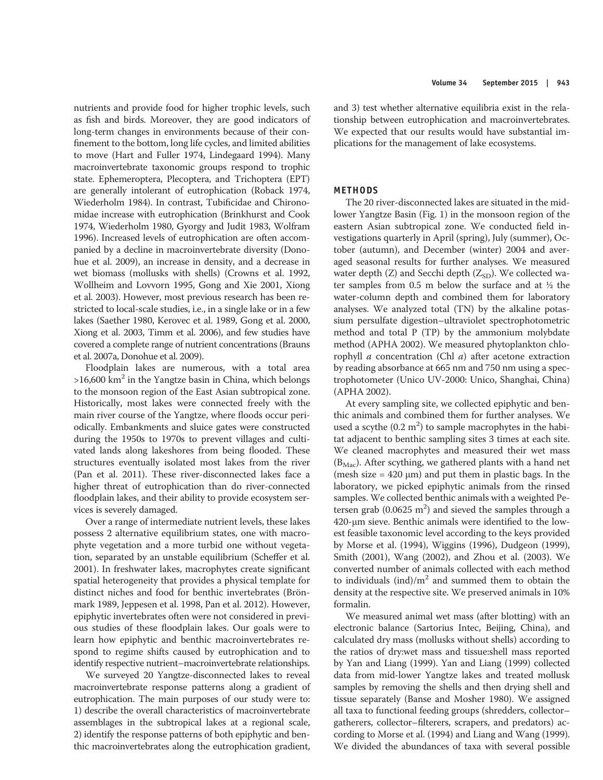nutrients and provide food for higher trophic levels, such as fish and birds. Moreover, they are good indicators of long-term changes in environments because of their confinement to the bottom, long life cycles, and limited abilities to move (Hart and Fuller 1974, Lindegaard 1994). Many macroinvertebrate taxonomic groups respond to trophic state. Ephemeroptera, Plecoptera, and Trichoptera (EPT) are generally intolerant of eutrophication (Roback 1974, Wiederholm 1984). In contrast, Tubificidae and Chironomidae increase with eutrophication (Brinkhurst and Cook 1974, Wiederholm 1980, Gyorgy and Judit 1983, Wolfram 1996). Increased levels of eutrophication are often accompanied by a decline in macroinvertebrate diversity (Donohue et al. 2009), an increase in density, and a decrease in wet biomass (mollusks with shells) (Crowns et al. 1992, Wollheim and Lovvorn 1995, Gong and Xie 2001, Xiong et al. 2003). However, most previous research has been restricted to local-scale studies, i.e., in a single lake or in a few lakes (Saether 1980, Kerovec et al. 1989, Gong et al. 2000, Xiong et al. 2003, Timm et al. 2006), and few studies have covered a complete range of nutrient concentrations (Brauns et al. 2007a, Donohue et al. 2009).

Floodplain lakes are numerous, with a total area  $>16,600$  km<sup>2</sup> in the Yangtze basin in China, which belongs to the monsoon region of the East Asian subtropical zone. Historically, most lakes were connected freely with the main river course of the Yangtze, where floods occur periodically. Embankments and sluice gates were constructed during the 1950s to 1970s to prevent villages and cultivated lands along lakeshores from being flooded. These structures eventually isolated most lakes from the river (Pan et al. 2011). These river-disconnected lakes face a higher threat of eutrophication than do river-connected floodplain lakes, and their ability to provide ecosystem services is severely damaged.

Over a range of intermediate nutrient levels, these lakes possess 2 alternative equilibrium states, one with macrophyte vegetation and a more turbid one without vegetation, separated by an unstable equilibrium (Scheffer et al. 2001). In freshwater lakes, macrophytes create significant spatial heterogeneity that provides a physical template for distinct niches and food for benthic invertebrates (Brönmark 1989, Jeppesen et al. 1998, Pan et al. 2012). However, epiphytic invertebrates often were not considered in previous studies of these floodplain lakes. Our goals were to learn how epiphytic and benthic macroinvertebrates respond to regime shifts caused by eutrophication and to identify respective nutrient–macroinvertebrate relationships.

We surveyed 20 Yangtze-disconnected lakes to reveal macroinvertebrate response patterns along a gradient of eutrophication. The main purposes of our study were to: 1) describe the overall characteristics of macroinvertebrate assemblages in the subtropical lakes at a regional scale, 2) identify the response patterns of both epiphytic and benthic macroinvertebrates along the eutrophication gradient,

and 3) test whether alternative equilibria exist in the relationship between eutrophication and macroinvertebrates. We expected that our results would have substantial implications for the management of lake ecosystems.

## METHODS

The 20 river-disconnected lakes are situated in the midlower Yangtze Basin (Fig. 1) in the monsoon region of the eastern Asian subtropical zone. We conducted field investigations quarterly in April (spring), July (summer), October (autumn), and December (winter) 2004 and averaged seasonal results for further analyses. We measured water depth  $(Z)$  and Secchi depth  $(Z_{SD})$ . We collected water samples from 0.5 m below the surface and at ½ the water-column depth and combined them for laboratory analyses. We analyzed total (TN) by the alkaline potassium persulfate digestion–ultraviolet spectrophotometric method and total P (TP) by the ammonium molybdate method (APHA 2002). We measured phytoplankton chlorophyll  $a$  concentration (Chl  $a$ ) after acetone extraction by reading absorbance at 665 nm and 750 nm using a spectrophotometer (Unico UV-2000: Unico, Shanghai, China) (APHA 2002).

At every sampling site, we collected epiphytic and benthic animals and combined them for further analyses. We used a scythe  $(0.2 \text{ m}^2)$  to sample macrophytes in the habitat adjacent to benthic sampling sites 3 times at each site. We cleaned macrophytes and measured their wet mass  $(B<sub>Mac</sub>)$ . After scything, we gathered plants with a hand net (mesh size  $= 420 \mu m$ ) and put them in plastic bags. In the laboratory, we picked epiphytic animals from the rinsed samples. We collected benthic animals with a weighted Petersen grab (0.0625  $m^2$ ) and sieved the samples through a 420-μm sieve. Benthic animals were identified to the lowest feasible taxonomic level according to the keys provided by Morse et al. (1994), Wiggins (1996), Dudgeon (1999), Smith (2001), Wang (2002), and Zhou et al. (2003). We converted number of animals collected with each method to individuals (ind)/ $m<sup>2</sup>$  and summed them to obtain the density at the respective site. We preserved animals in 10% formalin.

We measured animal wet mass (after blotting) with an electronic balance (Sartorius Intec, Beijing, China), and calculated dry mass (mollusks without shells) according to the ratios of dry:wet mass and tissue:shell mass reported by Yan and Liang (1999). Yan and Liang (1999) collected data from mid-lower Yangtze lakes and treated mollusk samples by removing the shells and then drying shell and tissue separately (Banse and Mosher 1980). We assigned all taxa to functional feeding groups (shredders, collector– gatherers, collector–filterers, scrapers, and predators) according to Morse et al. (1994) and Liang and Wang (1999). We divided the abundances of taxa with several possible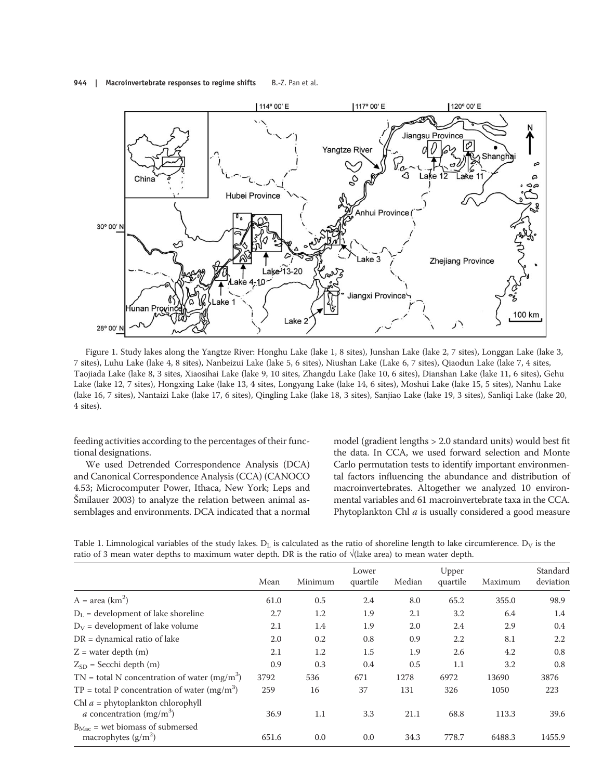

Figure 1. Study lakes along the Yangtze River: Honghu Lake (lake 1, 8 sites), Junshan Lake (lake 2, 7 sites), Longgan Lake (lake 3, 7 sites), Luhu Lake (lake 4, 8 sites), Nanbeizui Lake (lake 5, 6 sites), Niushan Lake (Lake 6, 7 sites), Qiaodun Lake (lake 7, 4 sites, Taojiada Lake (lake 8, 3 sites, Xiaosihai Lake (lake 9, 10 sites, Zhangdu Lake (lake 10, 6 sites), Dianshan Lake (lake 11, 6 sites), Gehu Lake (lake 12, 7 sites), Hongxing Lake (lake 13, 4 sites, Longyang Lake (lake 14, 6 sites), Moshui Lake (lake 15, 5 sites), Nanhu Lake (lake 16, 7 sites), Nantaizi Lake (lake 17, 6 sites), Qingling Lake (lake 18, 3 sites), Sanjiao Lake (lake 19, 3 sites), Sanliqi Lake (lake 20, 4 sites).

feeding activities according to the percentages of their functional designations.

We used Detrended Correspondence Analysis (DCA) and Canonical Correspondence Analysis (CCA) (CANOCO 4.53; Microcomputer Power, Ithaca, New York; Leps and Šmilauer 2003) to analyze the relation between animal assemblages and environments. DCA indicated that a normal model (gradient lengths > 2.0 standard units) would best fit the data. In CCA, we used forward selection and Monte Carlo permutation tests to identify important environmental factors influencing the abundance and distribution of macroinvertebrates. Altogether we analyzed 10 environmental variables and 61 macroinvertebrate taxa in the CCA. Phytoplankton Chl a is usually considered a good measure

Table 1. Limnological variables of the study lakes.  $D_L$  is calculated as the ratio of shoreline length to lake circumference.  $D_V$  is the ratio of 3 mean water depths to maximum water depth. DR is the ratio of √(lake area) to mean water depth.

|                                                                                    | Mean  | Minimum | Lower<br>quartile | Median | Upper<br>quartile | Maximum | Standard<br>deviation |
|------------------------------------------------------------------------------------|-------|---------|-------------------|--------|-------------------|---------|-----------------------|
| $A = area (km2)$                                                                   | 61.0  | 0.5     | 2.4               | 8.0    | 65.2              | 355.0   | 98.9                  |
| $D_L$ = development of lake shoreline                                              | 2.7   | 1.2     | 1.9               | 2.1    | 3.2               | 6.4     | 1.4                   |
| $D_V$ = development of lake volume                                                 | 2.1   | 1.4     | 1.9               | 2.0    | 2.4               | 2.9     | 0.4                   |
| $DR = dynamical ratio of lake$                                                     | 2.0   | 0.2     | 0.8               | 0.9    | 2.2               | 8.1     | 2.2                   |
| $Z =$ water depth $(m)$                                                            | 2.1   | 1.2     | 1.5               | 1.9    | 2.6               | 4.2     | 0.8                   |
| $Z_{SD}$ = Secchi depth (m)                                                        | 0.9   | 0.3     | 0.4               | 0.5    | 1.1               | 3.2     | 0.8                   |
| TN = total N concentration of water $(mg/m3)$                                      | 3792  | 536     | 671               | 1278   | 6972              | 13690   | 3876                  |
| $TP = total P$ concentration of water (mg/m <sup>3</sup> )                         | 259   | 16      | 37                | 131    | 326               | 1050    | 223                   |
| Chl $a =$ phytoplankton chlorophyll<br><i>a</i> concentration (mg/m <sup>3</sup> ) | 36.9  | 1.1     | 3.3               | 21.1   | 68.8              | 113.3   | 39.6                  |
| $B_{Mac}$ = wet biomass of submersed<br>macrophytes $(g/m^2)$                      | 651.6 | 0.0     | 0.0               | 34.3   | 778.7             | 6488.3  | 1455.9                |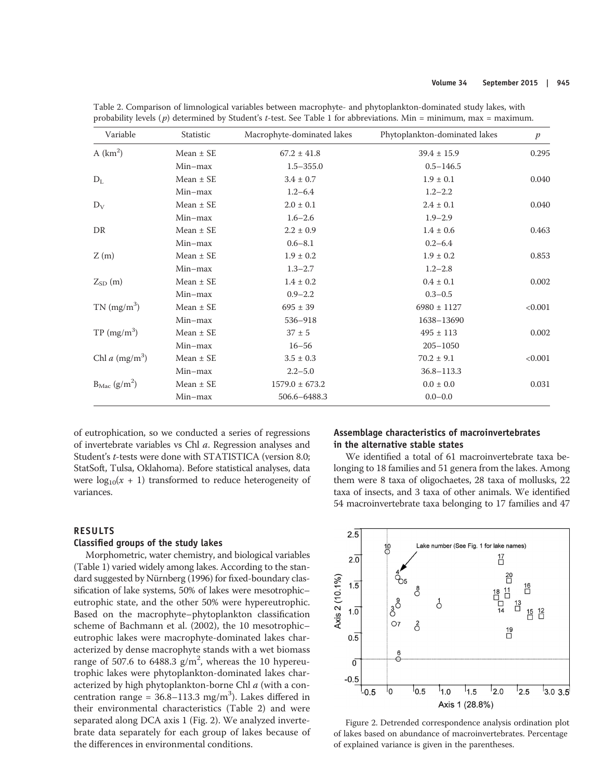#### Volume 34 September 2015 | 945

| Variable                   | Statistic     |                            |                               |                  |
|----------------------------|---------------|----------------------------|-------------------------------|------------------|
|                            |               | Macrophyte-dominated lakes | Phytoplankton-dominated lakes | $\boldsymbol{p}$ |
| A(km <sup>2</sup> )        | Mean $\pm$ SE | $67.2 \pm 41.8$            | $39.4 \pm 15.9$               | 0.295            |
|                            | Min-max       | $1.5 - 355.0$              | $0.5 - 146.5$                 |                  |
| $D_{L}$                    | Mean $\pm$ SE | $3.4 \pm 0.7$              | $1.9 \pm 0.1$                 | 0.040            |
|                            | Min-max       | $1.2 - 6.4$                | $1.2 - 2.2$                   |                  |
| $D_V$                      | Mean $\pm$ SE | $2.0 \pm 0.1$              | $2.4 \pm 0.1$                 | 0.040            |
|                            | Min-max       | $1.6 - 2.6$                | $1.9 - 2.9$                   |                  |
| DR                         | Mean $\pm$ SE | $2.2 \pm 0.9$              | $1.4 \pm 0.6$                 | 0.463            |
|                            | Min-max       | $0.6 - 8.1$                | $0.2 - 6.4$                   |                  |
| Z(m)                       | Mean $\pm$ SE | $1.9 \pm 0.2$              | $1.9 \pm 0.2$                 | 0.853            |
|                            | Min-max       | $1.3 - 2.7$                | $1.2 - 2.8$                   |                  |
| $Z_{SD}(m)$                | Mean $\pm$ SE | $1.4 \pm 0.2$              | $0.4 \pm 0.1$                 | 0.002            |
|                            | Min-max       | $0.9 - 2.2$                | $0.3 - 0.5$                   |                  |
| $TN$ (mg/m <sup>3</sup> )  | $Mean \pm SE$ | $695 \pm 39$               | $6980 \pm 1127$               | < 0.001          |
|                            | Min-max       | 536-918                    | 1638-13690                    |                  |
| TP (mg/m <sup>3</sup> )    | Mean $\pm$ SE | $37 \pm 5$                 | $495 \pm 113$                 | 0.002            |
|                            | Min-max       | $16 - 56$                  | $205 - 1050$                  |                  |
| Chl $a \, (\text{mg/m}^3)$ | Mean $\pm$ SE | $3.5 \pm 0.3$              | $70.2 \pm 9.1$                | < 0.001          |
|                            | Min-max       | $2.2 - 5.0$                | $36.8 - 113.3$                |                  |
| $B_{\text{Mac}}(g/m^2)$    | $Mean \pm SE$ | $1579.0 \pm 673.2$         | $0.0 \pm 0.0$                 | 0.031            |
|                            | Min-max       | 506.6-6488.3               | $0.0 - 0.0$                   |                  |

Table 2. Comparison of limnological variables between macrophyte- and phytoplankton-dominated study lakes, with probability levels ( $p$ ) determined by Student's t-test. See Table 1 for abbreviations. Min = minimum, max = maximum.

of eutrophication, so we conducted a series of regressions of invertebrate variables vs Chl a. Regression analyses and Student's t-tests were done with STATISTICA (version 8.0; StatSoft, Tulsa, Oklahoma). Before statistical analyses, data were  $log_{10}(x + 1)$  transformed to reduce heterogeneity of variances.

## RESULTS

## Classified groups of the study lakes

Morphometric, water chemistry, and biological variables (Table 1) varied widely among lakes. According to the standard suggested by Nürnberg (1996) for fixed-boundary classification of lake systems, 50% of lakes were mesotrophic– eutrophic state, and the other 50% were hypereutrophic. Based on the macrophyte–phytoplankton classification scheme of Bachmann et al. (2002), the 10 mesotrophic– eutrophic lakes were macrophyte-dominated lakes characterized by dense macrophyte stands with a wet biomass range of 507.6 to 6488.3  $g/m^2$ , whereas the 10 hypereutrophic lakes were phytoplankton-dominated lakes characterized by high phytoplankton-borne Chl a (with a concentration range =  $36.8 - 113.3$  mg/m<sup>3</sup>). Lakes differed in their environmental characteristics (Table 2) and were separated along DCA axis 1 (Fig. 2). We analyzed invertebrate data separately for each group of lakes because of the differences in environmental conditions.

## Assemblage characteristics of macroinvertebrates in the alternative stable states

We identified a total of 61 macroinvertebrate taxa belonging to 18 families and 51 genera from the lakes. Among them were 8 taxa of oligochaetes, 28 taxa of mollusks, 22 taxa of insects, and 3 taxa of other animals. We identified 54 macroinvertebrate taxa belonging to 17 families and 47



Figure 2. Detrended correspondence analysis ordination plot of lakes based on abundance of macroinvertebrates. Percentage of explained variance is given in the parentheses.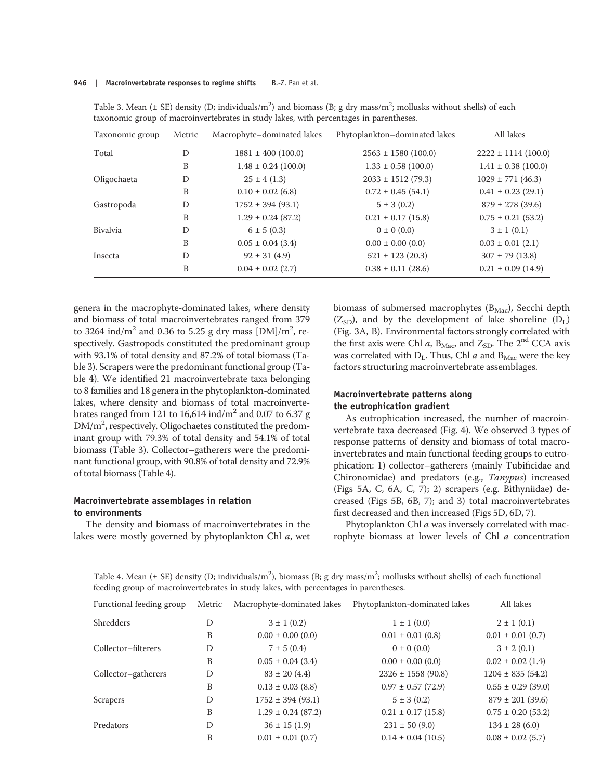| Taxonomic group | Metric | Macrophyte-dominated lakes | Phytoplankton-dominated lakes | All lakes               |
|-----------------|--------|----------------------------|-------------------------------|-------------------------|
| Total           | D      | $1881 \pm 400$ (100.0)     | $2563 \pm 1580$ (100.0)       | $2222 \pm 1114 (100.0)$ |
|                 | B      | $1.48 \pm 0.24$ (100.0)    | $1.33 \pm 0.58$ (100.0)       | $1.41 \pm 0.38$ (100.0) |
| Oligochaeta     | D      | $25 \pm 4(1.3)$            | $2033 \pm 1512$ (79.3)        | $1029 \pm 771 (46.3)$   |
|                 | B      | $0.10 \pm 0.02$ (6.8)      | $0.72 \pm 0.45$ (54.1)        | $0.41 \pm 0.23$ (29.1)  |
| Gastropoda      | D      | $1752 \pm 394 (93.1)$      | $5 \pm 3$ (0.2)               | $879 \pm 278$ (39.6)    |
|                 | B      | $1.29 \pm 0.24$ (87.2)     | $0.21 \pm 0.17$ (15.8)        | $0.75 \pm 0.21$ (53.2)  |
| <b>Bivalvia</b> | D      | $6 \pm 5$ (0.3)            | $0 \pm 0$ (0.0)               | $3 \pm 1$ (0.1)         |
|                 | B      | $0.05 \pm 0.04$ (3.4)      | $0.00 \pm 0.00$ (0.0)         | $0.03 \pm 0.01$ (2.1)   |
| Insecta         | D      | $92 \pm 31 (4.9)$          | $521 \pm 123$ (20.3)          | $307 \pm 79$ (13.8)     |
|                 | B      | $0.04 \pm 0.02$ (2.7)      | $0.38 \pm 0.11$ (28.6)        | $0.21 \pm 0.09$ (14.9)  |

Table 3. Mean ( $\pm$  SE) density (D; individuals/m<sup>2</sup>) and biomass (B; g dry mass/m<sup>2</sup>; mollusks without shells) of each taxonomic group of macroinvertebrates in study lakes, with percentages in parentheses.

genera in the macrophyte-dominated lakes, where density and biomass of total macroinvertebrates ranged from 379 to 3264 ind/ $m^2$  and 0.36 to 5.25 g dry mass  $[DM]/m^2$ , respectively. Gastropods constituted the predominant group with 93.1% of total density and 87.2% of total biomass (Table 3). Scrapers were the predominant functional group (Table 4). We identified 21 macroinvertebrate taxa belonging to 8 families and 18 genera in the phytoplankton-dominated lakes, where density and biomass of total macroinvertebrates ranged from 121 to 16,614 ind/m<sup>2</sup> and 0.07 to 6.37 g DM/m<sup>2</sup>, respectively. Oligochaetes constituted the predominant group with 79.3% of total density and 54.1% of total biomass (Table 3). Collector–gatherers were the predominant functional group, with 90.8% of total density and 72.9% of total biomass (Table 4).

## Macroinvertebrate assemblages in relation to environments

The density and biomass of macroinvertebrates in the lakes were mostly governed by phytoplankton Chl a, wet biomass of submersed macrophytes  $(B_{Mac})$ , Secchi depth  $(Z_{SD})$ , and by the development of lake shoreline  $(D<sub>L</sub>)$ (Fig. 3A, B). Environmental factors strongly correlated with the first axis were Chl a,  $B_{\text{Mac}}$  and  $Z_{SD}$ . The 2<sup>nd</sup> CCA axis was correlated with  $D_L$ . Thus, Chl a and  $B_{Mac}$  were the key factors structuring macroinvertebrate assemblages.

## Macroinvertebrate patterns along the eutrophication gradient

As eutrophication increased, the number of macroinvertebrate taxa decreased (Fig. 4). We observed 3 types of response patterns of density and biomass of total macroinvertebrates and main functional feeding groups to eutrophication: 1) collector–gatherers (mainly Tubificidae and Chironomidae) and predators (e.g., Tanypus) increased (Figs 5A, C, 6A, C, 7); 2) scrapers (e.g. Bithyniidae) decreased (Figs 5B, 6B, 7); and 3) total macroinvertebrates first decreased and then increased (Figs 5D, 6D, 7).

Phytoplankton Chl a was inversely correlated with macrophyte biomass at lower levels of Chl a concentration

Table 4. Mean ( $\pm$  SE) density (D; individuals/m<sup>2</sup>), biomass (B; g dry mass/m<sup>2</sup>; mollusks without shells) of each functional feeding group of macroinvertebrates in study lakes, with percentages in parentheses.

| Metric | Macrophyte-dominated lakes | Phytoplankton-dominated lakes | All lakes              |
|--------|----------------------------|-------------------------------|------------------------|
| D      | $3 \pm 1$ (0.2)            | $1 \pm 1$ (0.0)               | $2 \pm 1$ (0.1)        |
| B      | $0.00 \pm 0.00$ (0.0)      | $0.01 \pm 0.01$ (0.8)         | $0.01 \pm 0.01$ (0.7)  |
| D      | $7 \pm 5(0.4)$             | $0 \pm 0$ (0.0)               | $3 \pm 2(0.1)$         |
| B      | $0.05 \pm 0.04$ (3.4)      | $0.00 \pm 0.00$ (0.0)         | $0.02 \pm 0.02$ (1.4)  |
| D      | $83 \pm 20$ (4.4)          | $2326 \pm 1558$ (90.8)        | $1204 \pm 835(54.2)$   |
| B      | $0.13 \pm 0.03$ (8.8)      | $0.97 \pm 0.57$ (72.9)        | $0.55 \pm 0.29$ (39.0) |
| D      | $1752 \pm 394 (93.1)$      | $5 \pm 3$ (0.2)               | $879 \pm 201$ (39.6)   |
| B      | $1.29 \pm 0.24$ (87.2)     | $0.21 \pm 0.17$ (15.8)        | $0.75 \pm 0.20$ (53.2) |
| D      | $36 \pm 15$ (1.9)          | $231 \pm 50$ (9.0)            | $134 \pm 28$ (6.0)     |
| B      | $0.01 \pm 0.01$ (0.7)      | $0.14 \pm 0.04$ (10.5)        | $0.08 \pm 0.02$ (5.7)  |
|        |                            |                               |                        |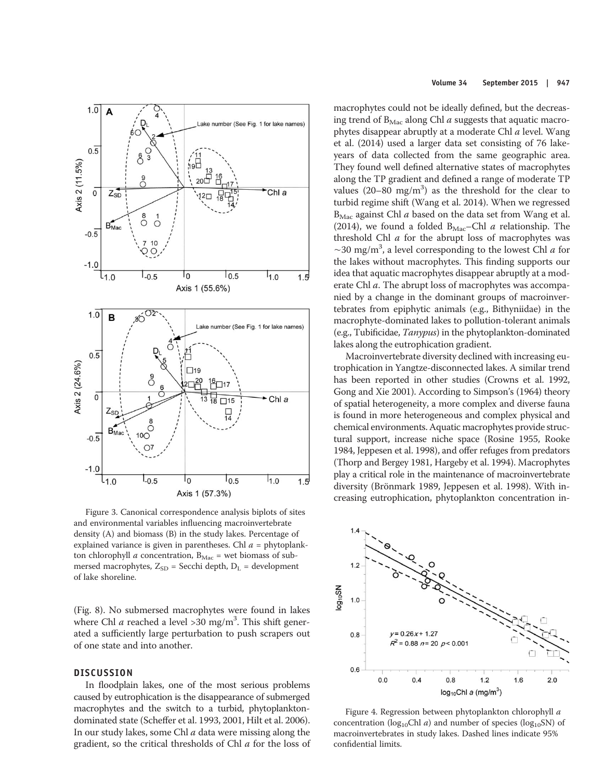

Figure 3. Canonical correspondence analysis biplots of sites and environmental variables influencing macroinvertebrate density (A) and biomass (B) in the study lakes. Percentage of explained variance is given in parentheses. Chl  $a =$  phytoplankton chlorophyll *a* concentration,  $B_{Mac}$  = wet biomass of submersed macrophytes,  $Z_{SD}$  = Secchi depth,  $D_L$  = development of lake shoreline.

(Fig. 8). No submersed macrophytes were found in lakes where Chl  $a$  reached a level > 30 mg/m<sup>3</sup>. This shift generated a sufficiently large perturbation to push scrapers out of one state and into another.

## **DISCUSSION**

In floodplain lakes, one of the most serious problems caused by eutrophication is the disappearance of submerged macrophytes and the switch to a turbid, phytoplanktondominated state (Scheffer et al. 1993, 2001, Hilt et al. 2006). In our study lakes, some Chl  $a$  data were missing along the gradient, so the critical thresholds of Chl a for the loss of macrophytes could not be ideally defined, but the decreasing trend of  $B_{Mac}$  along Chl  $a$  suggests that aquatic macrophytes disappear abruptly at a moderate Chl  $a$  level. Wang et al. (2014) used a larger data set consisting of 76 lakeyears of data collected from the same geographic area. They found well defined alternative states of macrophytes along the TP gradient and defined a range of moderate TP values  $(20-80 \text{ mg/m}^3)$  as the threshold for the clear to turbid regime shift (Wang et al. 2014). When we regressed  $B_{\text{Mac}}$  against Chl  $a$  based on the data set from Wang et al. (2014), we found a folded  $B_{Mac}$ -Chl *a* relationship. The threshold Chl  $a$  for the abrupt loss of macrophytes was ~30 mg/m<sup>3</sup>, a level corresponding to the lowest Chl *a* for the lakes without macrophytes. This finding supports our idea that aquatic macrophytes disappear abruptly at a moderate Chl *a*. The abrupt loss of macrophytes was accompanied by a change in the dominant groups of macroinvertebrates from epiphytic animals (e.g., Bithyniidae) in the macrophyte-dominated lakes to pollution-tolerant animals (e.g., Tubificidae, Tanypus) in the phytoplankton-dominated lakes along the eutrophication gradient.

Macroinvertebrate diversity declined with increasing eutrophication in Yangtze-disconnected lakes. A similar trend has been reported in other studies (Crowns et al. 1992, Gong and Xie 2001). According to Simpson's (1964) theory of spatial heterogeneity, a more complex and diverse fauna is found in more heterogeneous and complex physical and chemical environments. Aquatic macrophytes provide structural support, increase niche space (Rosine 1955, Rooke 1984, Jeppesen et al. 1998), and offer refuges from predators (Thorp and Bergey 1981, Hargeby et al. 1994). Macrophytes play a critical role in the maintenance of macroinvertebrate diversity (Brönmark 1989, Jeppesen et al. 1998). With increasing eutrophication, phytoplankton concentration in-



Figure 4. Regression between phytoplankton chlorophyll a concentration ( $log_{10}Chl a$ ) and number of species ( $log_{10}SN$ ) of macroinvertebrates in study lakes. Dashed lines indicate 95% confidential limits.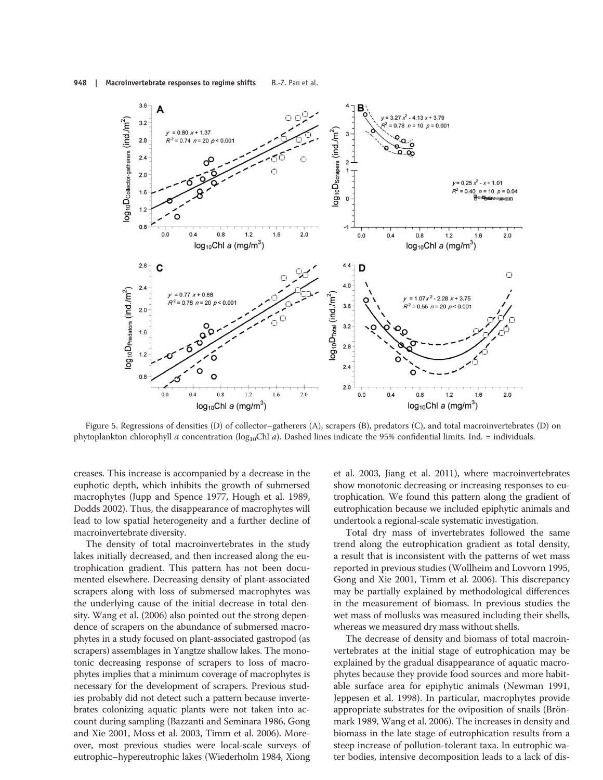

Figure 5. Regressions of densities (D) of collector–gatherers (A), scrapers (B), predators (C), and total macroinvertebrates (D) on phytoplankton chlorophyll a concentration (log<sub>10</sub>Chl a). Dashed lines indicate the 95% confidential limits. Ind. = individuals.

creases. This increase is accompanied by a decrease in the euphotic depth, which inhibits the growth of submersed macrophytes (Jupp and Spence 1977, Hough et al. 1989, Dodds 2002). Thus, the disappearance of macrophytes will lead to low spatial heterogeneity and a further decline of macroinvertebrate diversity.

The density of total macroinvertebrates in the study lakes initially decreased, and then increased along the eutrophication gradient. This pattern has not been documented elsewhere. Decreasing density of plant-associated scrapers along with loss of submersed macrophytes was the underlying cause of the initial decrease in total density. Wang et al. (2006) also pointed out the strong dependence of scrapers on the abundance of submersed macrophytes in a study focused on plant-associated gastropod (as scrapers) assemblages in Yangtze shallow lakes. The monotonic decreasing response of scrapers to loss of macrophytes implies that a minimum coverage of macrophytes is necessary for the development of scrapers. Previous studies probably did not detect such a pattern because invertebrates colonizing aquatic plants were not taken into account during sampling (Bazzanti and Seminara 1986, Gong and Xie 2001, Moss et al. 2003, Timm et al. 2006). Moreover, most previous studies were local-scale surveys of eutrophic–hypereutrophic lakes (Wiederholm 1984, Xiong et al. 2003, Jiang et al. 2011), where macroinvertebrates show monotonic decreasing or increasing responses to eutrophication. We found this pattern along the gradient of eutrophication because we included epiphytic animals and undertook a regional-scale systematic investigation.

Total dry mass of invertebrates followed the same trend along the eutrophication gradient as total density, a result that is inconsistent with the patterns of wet mass reported in previous studies (Wollheim and Lovvorn 1995, Gong and Xie 2001, Timm et al. 2006). This discrepancy may be partially explained by methodological differences in the measurement of biomass. In previous studies the wet mass of mollusks was measured including their shells, whereas we measured dry mass without shells.

The decrease of density and biomass of total macroinvertebrates at the initial stage of eutrophication may be explained by the gradual disappearance of aquatic macrophytes because they provide food sources and more habitable surface area for epiphytic animals (Newman 1991, Jeppesen et al. 1998). In particular, macrophytes provide appropriate substrates for the oviposition of snails (Brönmark 1989, Wang et al. 2006). The increases in density and biomass in the late stage of eutrophication results from a steep increase of pollution-tolerant taxa. In eutrophic water bodies, intensive decomposition leads to a lack of dis-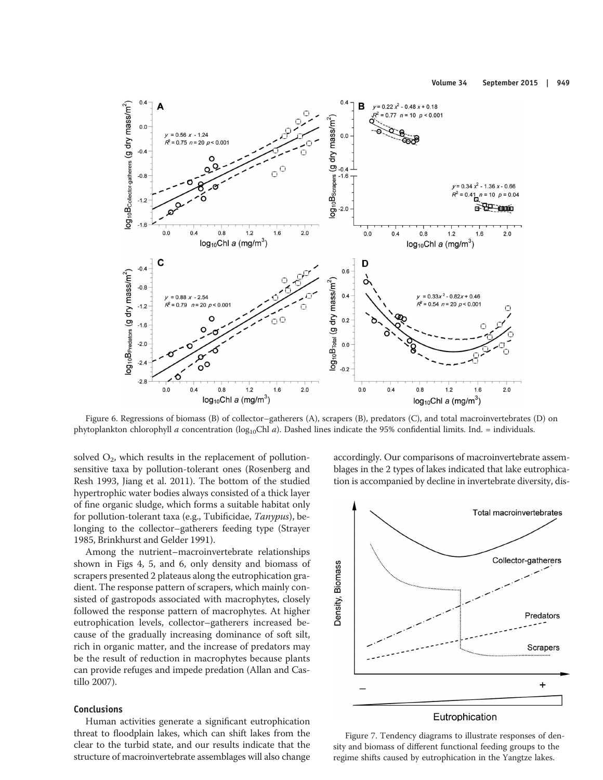

Figure 6. Regressions of biomass (B) of collector–gatherers (A), scrapers (B), predators (C), and total macroinvertebrates (D) on phytoplankton chlorophyll a concentration (log<sub>10</sub>Chl a). Dashed lines indicate the 95% confidential limits. Ind. = individuals.

solved  $O_2$ , which results in the replacement of pollutionsensitive taxa by pollution-tolerant ones (Rosenberg and Resh 1993, Jiang et al. 2011). The bottom of the studied hypertrophic water bodies always consisted of a thick layer of fine organic sludge, which forms a suitable habitat only for pollution-tolerant taxa (e.g., Tubificidae, Tanypus), belonging to the collector–gatherers feeding type (Strayer 1985, Brinkhurst and Gelder 1991).

Among the nutrient–macroinvertebrate relationships shown in Figs 4, 5, and 6, only density and biomass of scrapers presented 2 plateaus along the eutrophication gradient. The response pattern of scrapers, which mainly consisted of gastropods associated with macrophytes, closely followed the response pattern of macrophytes. At higher eutrophication levels, collector–gatherers increased because of the gradually increasing dominance of soft silt, rich in organic matter, and the increase of predators may be the result of reduction in macrophytes because plants can provide refuges and impede predation (Allan and Castillo 2007).

### **Conclusions**

Human activities generate a significant eutrophication threat to floodplain lakes, which can shift lakes from the clear to the turbid state, and our results indicate that the structure of macroinvertebrate assemblages will also change accordingly. Our comparisons of macroinvertebrate assemblages in the 2 types of lakes indicated that lake eutrophication is accompanied by decline in invertebrate diversity, dis-



Figure 7. Tendency diagrams to illustrate responses of density and biomass of different functional feeding groups to the regime shifts caused by eutrophication in the Yangtze lakes.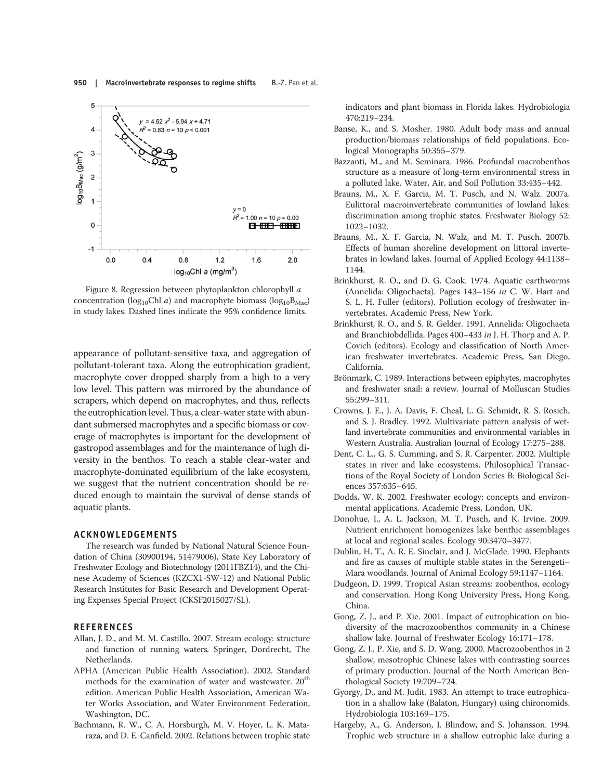

Figure 8. Regression between phytoplankton chlorophyll a concentration ( $log_{10}Chl a$ ) and macrophyte biomass ( $log_{10}B_{\text{Mac}}$ ) in study lakes. Dashed lines indicate the 95% confidence limits.

appearance of pollutant-sensitive taxa, and aggregation of pollutant-tolerant taxa. Along the eutrophication gradient, macrophyte cover dropped sharply from a high to a very low level. This pattern was mirrored by the abundance of scrapers, which depend on macrophytes, and thus, reflects the eutrophication level. Thus, a clear-water state with abundant submersed macrophytes and a specific biomass or coverage of macrophytes is important for the development of gastropod assemblages and for the maintenance of high diversity in the benthos. To reach a stable clear-water and macrophyte-dominated equilibrium of the lake ecosystem, we suggest that the nutrient concentration should be reduced enough to maintain the survival of dense stands of aquatic plants.

#### ACKNOWLEDGEMENTS

The research was funded by National Natural Science Foundation of China (30900194, 51479006), State Key Laboratory of Freshwater Ecology and Biotechnology (2011FBZ14), and the Chinese Academy of Sciences (KZCX1-SW-12) and National Public Research Institutes for Basic Research and Development Operating Expenses Special Project (CKSF2015027/SL).

## **REFERENCES**

- Allan, J. D., and M. M. Castillo. 2007. Stream ecology: structure and function of running waters. Springer, Dordrecht, The Netherlands.
- APHA (American Public Health Association). 2002. Standard methods for the examination of water and wastewater. 20<sup>th</sup> edition. American Public Health Association, American Water Works Association, and Water Environment Federation, Washington, DC.
- Bachmann, R. W., C. A. Horsburgh, M. V. Hoyer, L. K. Mataraza, and D. E. Canfield. 2002. Relations between trophic state

indicators and plant biomass in Florida lakes. Hydrobiologia 470:219–234.

- Banse, K., and S. Mosher. 1980. Adult body mass and annual production/biomass relationships of field populations. Ecological Monographs 50:355-379.
- Bazzanti, M., and M. Seminara. 1986. Profundal macrobenthos structure as a measure of long-term environmental stress in a polluted lake. Water, Air, and Soil Pollution 33:435–442.
- Brauns, M., X. F. Garcia, M. T. Pusch, and N. Walz. 2007a. Eulittoral macroinvertebrate communities of lowland lakes: discrimination among trophic states. Freshwater Biology 52: 1022–1032.
- Brauns, M., X. F. Garcia, N. Walz, and M. T. Pusch. 2007b. Effects of human shoreline development on littoral invertebrates in lowland lakes. Journal of Applied Ecology 44:1138– 1144.
- Brinkhurst, R. O., and D. G. Cook. 1974. Aquatic earthworms (Annelida: Oligochaeta). Pages 143–156 in C. W. Hart and S. L. H. Fuller (editors). Pollution ecology of freshwater invertebrates. Academic Press, New York.
- Brinkhurst, R. O., and S. R. Gelder. 1991. Annelida: Oligochaeta and Branchiobdellida. Pages 400–433 in J. H. Thorp and A. P. Covich (editors). Ecology and classification of North American freshwater invertebrates. Academic Press, San Diego, California.
- Brönmark, C. 1989. Interactions between epiphytes, macrophytes and freshwater snail: a review. Journal of Molluscan Studies 55:299–311.
- Crowns, J. E., J. A. Davis, F. Cheal, L. G. Schmidt, R. S. Rosich, and S. J. Bradley. 1992. Multivariate pattern analysis of wetland invertebrate communities and environmental variables in Western Australia. Australian Journal of Ecology 17:275–288.
- Dent, C. L., G. S. Cumming, and S. R. Carpenter. 2002. Multiple states in river and lake ecosystems. Philosophical Transactions of the Royal Society of London Series B: Biological Sciences 357:635–645.
- Dodds, W. K. 2002. Freshwater ecology: concepts and environmental applications. Academic Press, London, UK.
- Donohue, I., A. L. Jackson, M. T. Pusch, and K. Irvine. 2009. Nutrient enrichment homogenizes lake benthic assemblages at local and regional scales. Ecology 90:3470–3477.
- Dublin, H. T., A. R. E. Sinclair, and J. McGlade. 1990. Elephants and fire as causes of multiple stable states in the Serengeti– Mara woodlands. Journal of Animal Ecology 59:1147–1164.
- Dudgeon, D. 1999. Tropical Asian streams: zoobenthos, ecology and conservation. Hong Kong University Press, Hong Kong, China.
- Gong, Z. J., and P. Xie. 2001. Impact of eutrophication on biodiversity of the macrozoobenthos community in a Chinese shallow lake. Journal of Freshwater Ecology 16:171–178.
- Gong, Z. J., P. Xie, and S. D. Wang. 2000. Macrozoobenthos in 2 shallow, mesotrophic Chinese lakes with contrasting sources of primary production. Journal of the North American Benthological Society 19:709–724.
- Gyorgy, D., and M. Judit. 1983. An attempt to trace eutrophication in a shallow lake (Balaton, Hungary) using chironomids. Hydrobiologia 103:169–175.
- Hargeby, A., G. Anderson, I. Blindow, and S. Johansson. 1994. Trophic web structure in a shallow eutrophic lake during a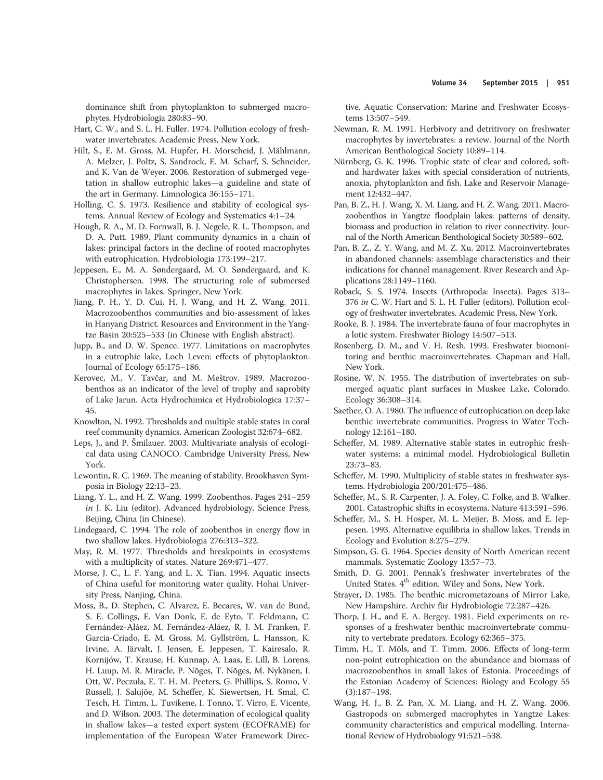dominance shift from phytoplankton to submerged macrophytes. Hydrobiologia 280:83–90.

- Hart, C. W., and S. L. H. Fuller. 1974. Pollution ecology of freshwater invertebrates. Academic Press, New York.
- Hilt, S., E. M. Gross, M. Hupfer, H. Morscheid, J. Mählmann, A. Melzer, J. Poltz, S. Sandrock, E. M. Scharf, S. Schneider, and K. Van de Weyer. 2006. Restoration of submerged vegetation in shallow eutrophic lakes—a guideline and state of the art in Germany. Limnologica 36:155–171.
- Holling, C. S. 1973. Resilience and stability of ecological systems. Annual Review of Ecology and Systematics 4:1–24.
- Hough, R. A., M. D. Fornwall, B. J. Negele, R. L. Thompson, and D. A. Putt. 1989. Plant community dynamics in a chain of lakes: principal factors in the decline of rooted macrophytes with eutrophication. Hydrobiologia 173:199–217.
- Jeppesen, E., M. A. Søndergaard, M. O. Søndergaard, and K. Christophersen. 1998. The structuring role of submersed macrophytes in lakes. Springer, New York.
- Jiang, P. H., Y. D. Cui, H. J. Wang, and H. Z. Wang. 2011. Macrozoobenthos communities and bio-assessment of lakes in Hanyang District. Resources and Environment in the Yangtze Basin 20:525–533 (in Chinese with English abstract).
- Jupp, B., and D. W. Spence. 1977. Limitations on macrophytes in a eutrophic lake, Loch Leven: effects of phytoplankton. Journal of Ecology 65:175–186.
- Kerovec, M., V. Tavčar, and M. Meštrov. 1989. Macrozoobenthos as an indicator of the level of trophy and saprobity of Lake Jarun. Acta Hydrochimica et Hydrobiologica 17:37– 45.
- Knowlton, N. 1992. Thresholds and multiple stable states in coral reef community dynamics. American Zoologist 32:674–682.
- Leps, J., and P. Šmilauer. 2003. Multivariate analysis of ecological data using CANOCO. Cambridge University Press, New York.
- Lewontin, R. C. 1969. The meaning of stability. Brookhaven Symposia in Biology 22:13–23.
- Liang, Y. L., and H. Z. Wang. 1999. Zoobenthos. Pages 241–259 in J. K. Liu (editor). Advanced hydrobiology. Science Press, Beijing, China (in Chinese).
- Lindegaard, C. 1994. The role of zoobenthos in energy flow in two shallow lakes. Hydrobiologia 276:313–322.
- May, R. M. 1977. Thresholds and breakpoints in ecosystems with a multiplicity of states. Nature 269:471–477.
- Morse, J. C., L. F. Yang, and L. X. Tian. 1994. Aquatic insects of China useful for monitoring water quality. Hohai University Press, Nanjing, China.
- Moss, B., D. Stephen, C. Alvarez, E. Becares, W. van de Bund, S. E. Collings, E. Van Donk, E. de Eyto, T. Feldmann, C. Fernández-Aláez, M. Fernández-Aláez, R. J. M. Franken, F. Garcia-Criado, E. M. Gross, M. Gyllström, L. Hansson, K. Irvine, A. Järvalt, J. Jensen, E. Jeppesen, T. Kairesalo, R. Kornijów, T. Krause, H. Kunnap, A. Laas, E. Lill, B. Lorens, H. Luup, M. R. Miracle, P. Nõges, T. Nõges, M. Nykänen, I. Ott, W. Peczula, E. T. H. M. Peeters, G. Phillips, S. Romo, V. Russell, J. Salujõe, M. Scheffer, K. Siewertsen, H. Smal, C. Tesch, H. Timm, L. Tuvikene, I. Tonno, T. Virro, E. Vicente, and D. Wilson. 2003. The determination of ecological quality in shallow lakes—a tested expert system (ECOFRAME) for implementation of the European Water Framework Direc-

tive. Aquatic Conservation: Marine and Freshwater Ecosystems 13:507–549.

- Newman, R. M. 1991. Herbivory and detritivory on freshwater macrophytes by invertebrates: a review. Journal of the North American Benthological Society 10:89–114.
- Nürnberg, G. K. 1996. Trophic state of clear and colored, softand hardwater lakes with special consideration of nutrients, anoxia, phytoplankton and fish. Lake and Reservoir Management 12:432–447.
- Pan, B. Z., H. J. Wang, X. M. Liang, and H. Z. Wang. 2011. Macrozoobenthos in Yangtze floodplain lakes: patterns of density, biomass and production in relation to river connectivity. Journal of the North American Benthological Society 30:589–602.
- Pan, B. Z., Z. Y. Wang, and M. Z. Xu. 2012. Macroinvertebrates in abandoned channels: assemblage characteristics and their indications for channel management. River Research and Applications 28:1149–1160.
- Roback, S. S. 1974. Insects (Arthropoda: Insecta). Pages 313– 376 in C. W. Hart and S. L. H. Fuller (editors). Pollution ecology of freshwater invertebrates. Academic Press, New York.
- Rooke, B. J. 1984. The invertebrate fauna of four macrophytes in a lotic system. Freshwater Biology 14:507–513.
- Rosenberg, D. M., and V. H. Resh. 1993. Freshwater biomonitoring and benthic macroinvertebrates. Chapman and Hall, New York.
- Rosine, W. N. 1955. The distribution of invertebrates on submerged aquatic plant surfaces in Muskee Lake, Colorado. Ecology 36:308–314.
- Saether, O. A. 1980. The influence of eutrophication on deep lake benthic invertebrate communities. Progress in Water Technology 12:161–180.
- Scheffer, M. 1989. Alternative stable states in eutrophic freshwater systems: a minimal model. Hydrobiological Bulletin 23:73–83.
- Scheffer, M. 1990. Multiplicity of stable states in freshwater systems. Hydrobiologia 200/201:475–486.
- Scheffer, M., S. R. Carpenter, J. A. Foley, C. Folke, and B. Walker. 2001. Catastrophic shifts in ecosystems. Nature 413:591–596.
- Scheffer, M., S. H. Hosper, M. L. Meijer, B. Moss, and E. Jeppesen. 1993. Alternative equilibria in shallow lakes. Trends in Ecology and Evolution 8:275–279.
- Simpson, G. G. 1964. Species density of North American recent mammals. Systematic Zoology 13:57–73.
- Smith, D. G. 2001. Pennak's freshwater invertebrates of the United States. 4<sup>th</sup> edition. Wiley and Sons, New York.
- Strayer, D. 1985. The benthic micrometazoans of Mirror Lake, New Hampshire. Archiv für Hydrobiologie 72:287–426.
- Thorp, J. H., and E. A. Bergey. 1981. Field experiments on responses of a freshwater benthic macroinvertebrate community to vertebrate predators. Ecology 62:365–375.
- Timm, H., T. Möls, and T. Timm. 2006. Effects of long-term non-point eutrophication on the abundance and biomass of macrozoobenthos in small lakes of Estonia. Proceedings of the Estonian Academy of Sciences: Biology and Ecology 55 (3):187–198.
- Wang, H. J., B. Z. Pan, X. M. Liang, and H. Z. Wang. 2006. Gastropods on submerged macrophytes in Yangtze Lakes: community characteristics and empirical modelling. International Review of Hydrobiology 91:521–538.